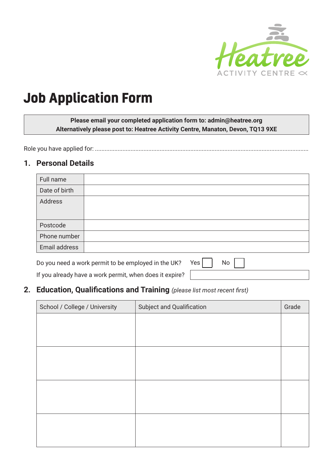

# **Job Application Form**

**Please email your completed application form to: admin@heatree.org Alternatively please post to: Heatree Activity Centre, Manaton, Devon, TQ13 9XE**

Role you have applied for: ....................................................................................................................................

#### **1. Personal Details**

| Full name     |  |
|---------------|--|
| Date of birth |  |
| Address       |  |
| Postcode      |  |
| Phone number  |  |
| Email address |  |
|               |  |

Do you need a work permit to be employed in the UK? Yes  $\Box$  No  $\Box$ 

If you already have a work permit, when does it expire?

### **2. Education, Qualifications and Training** *(please list most recent first)*

| School / College / University | Subject and Qualification | Grade |
|-------------------------------|---------------------------|-------|
|                               |                           |       |
|                               |                           |       |
|                               |                           |       |
|                               |                           |       |
|                               |                           |       |
|                               |                           |       |
|                               |                           |       |
|                               |                           |       |
|                               |                           |       |
|                               |                           |       |
|                               |                           |       |
|                               |                           |       |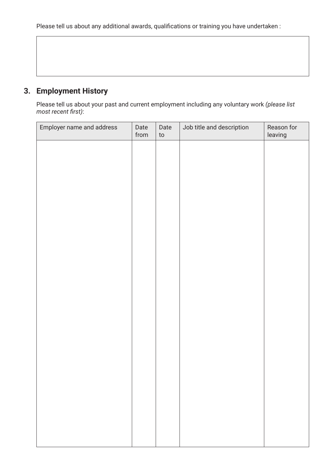Please tell us about any additional awards, qualifications or training you have undertaken :

# **3. Employment History**

Please tell us about your past and current employment including any voluntary work *(please list most recent first)*:

| Employer name and address | Date<br>from | Date<br>$\mathop{\mathsf{to}}$ | Job title and description | Reason for<br>leaving |
|---------------------------|--------------|--------------------------------|---------------------------|-----------------------|
|                           |              |                                |                           |                       |
|                           |              |                                |                           |                       |
|                           |              |                                |                           |                       |
|                           |              |                                |                           |                       |
|                           |              |                                |                           |                       |
|                           |              |                                |                           |                       |
|                           |              |                                |                           |                       |
|                           |              |                                |                           |                       |
|                           |              |                                |                           |                       |
|                           |              |                                |                           |                       |
|                           |              |                                |                           |                       |
|                           |              |                                |                           |                       |
|                           |              |                                |                           |                       |
|                           |              |                                |                           |                       |
|                           |              |                                |                           |                       |
|                           |              |                                |                           |                       |
|                           |              |                                |                           |                       |
|                           |              |                                |                           |                       |
|                           |              |                                |                           |                       |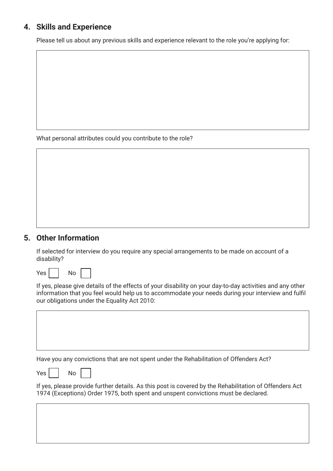## **4. Skills and Experience**

Please tell us about any previous skills and experience relevant to the role you're applying for:

What personal attributes could you contribute to the role?

#### **5. Other Information**

If selected for interview do you require any special arrangements to be made on account of a disability?



If yes, please give details of the effects of your disability on your day-to-day activities and any other information that you feel would help us to accommodate your needs during your interview and fulfil our obligations under the Equality Act 2010:

Have you any convictions that are not spent under the Rehabilitation of Offenders Act?

| Yes | No |
|-----|----|
|     |    |

| v.<br>۰, |
|----------|
|          |

If yes, please provide further details. As this post is covered by the Rehabilitation of Offenders Act 1974 (Exceptions) Order 1975, both spent and unspent convictions must be declared.